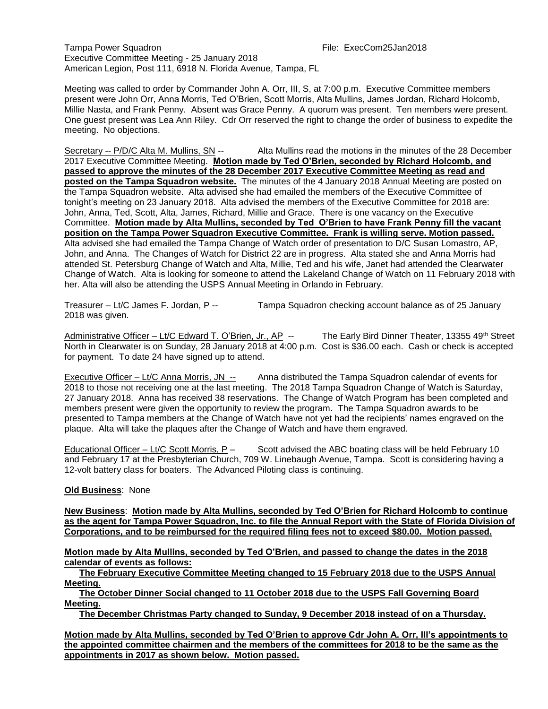Tampa Power Squadron File: ExecCom25Jan2018 Executive Committee Meeting - 25 January 2018 American Legion, Post 111, 6918 N. Florida Avenue, Tampa, FL

Meeting was called to order by Commander John A. Orr, III, S, at 7:00 p.m. Executive Committee members present were John Orr, Anna Morris, Ted O'Brien, Scott Morris, Alta Mullins, James Jordan, Richard Holcomb, Millie Nasta, and Frank Penny. Absent was Grace Penny. A quorum was present. Ten members were present. One guest present was Lea Ann Riley. Cdr Orr reserved the right to change the order of business to expedite the meeting. No objections.

Secretary -- P/D/C Alta M. Mullins, SN -- Alta Mullins read the motions in the minutes of the 28 December 2017 Executive Committee Meeting. **Motion made by Ted O'Brien, seconded by Richard Holcomb, and passed to approve the minutes of the 28 December 2017 Executive Committee Meeting as read and posted on the Tampa Squadron website.** The minutes of the 4 January 2018 Annual Meeting are posted on the Tampa Squadron website. Alta advised she had emailed the members of the Executive Committee of tonight's meeting on 23 January 2018. Alta advised the members of the Executive Committee for 2018 are: John, Anna, Ted, Scott, Alta, James, Richard, Millie and Grace. There is one vacancy on the Executive Committee. **Motion made by Alta Mullins, seconded by Ted O'Brien to have Frank Penny fill the vacant position on the Tampa Power Squadron Executive Committee. Frank is willing serve. Motion passed.** Alta advised she had emailed the Tampa Change of Watch order of presentation to D/C Susan Lomastro, AP, John, and Anna. The Changes of Watch for District 22 are in progress. Alta stated she and Anna Morris had attended St. Petersburg Change of Watch and Alta, Millie, Ted and his wife, Janet had attended the Clearwater Change of Watch. Alta is looking for someone to attend the Lakeland Change of Watch on 11 February 2018 with her. Alta will also be attending the USPS Annual Meeting in Orlando in February.

Treasurer – Lt/C James F. Jordan, P -- Tampa Squadron checking account balance as of 25 January 2018 was given.

Administrative Officer – Lt/C Edward T. O'Brien, Jr., AP -- The Early Bird Dinner Theater, 13355 49<sup>th</sup> Street North in Clearwater is on Sunday, 28 January 2018 at 4:00 p.m. Cost is \$36.00 each. Cash or check is accepted for payment. To date 24 have signed up to attend.

Executive Officer – Lt/C Anna Morris, JN -- Anna distributed the Tampa Squadron calendar of events for 2018 to those not receiving one at the last meeting. The 2018 Tampa Squadron Change of Watch is Saturday, 27 January 2018. Anna has received 38 reservations. The Change of Watch Program has been completed and members present were given the opportunity to review the program. The Tampa Squadron awards to be presented to Tampa members at the Change of Watch have not yet had the recipients' names engraved on the plaque. Alta will take the plaques after the Change of Watch and have them engraved.

Educational Officer – Lt/C Scott Morris,  $P -$  Scott advised the ABC boating class will be held February 10 and February 17 at the Presbyterian Church, 709 W. Linebaugh Avenue, Tampa. Scott is considering having a 12-volt battery class for boaters. The Advanced Piloting class is continuing.

#### **Old Business**: None

**New Business**: **Motion made by Alta Mullins, seconded by Ted O'Brien for Richard Holcomb to continue as the agent for Tampa Power Squadron, Inc. to file the Annual Report with the State of Florida Division of Corporations, and to be reimbursed for the required filing fees not to exceed \$80.00. Motion passed.** 

**Motion made by Alta Mullins, seconded by Ted O'Brien, and passed to change the dates in the 2018 calendar of events as follows:** 

 **The February Executive Committee Meeting changed to 15 February 2018 due to the USPS Annual Meeting.**

 **The October Dinner Social changed to 11 October 2018 due to the USPS Fall Governing Board Meeting.**

 **The December Christmas Party changed to Sunday, 9 December 2018 instead of on a Thursday.** 

**Motion made by Alta Mullins, seconded by Ted O'Brien to approve Cdr John A. Orr, III's appointments to the appointed committee chairmen and the members of the committees for 2018 to be the same as the appointments in 2017 as shown below. Motion passed.**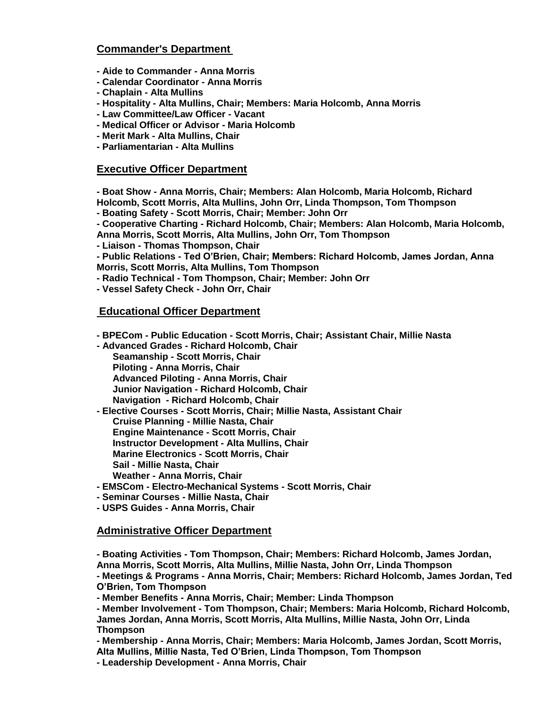# **Commander's Department**

- **- Aide to Commander - Anna Morris**
- **- Calendar Coordinator - Anna Morris**
- **- Chaplain - Alta Mullins**
- **- Hospitality - Alta Mullins, Chair; Members: Maria Holcomb, Anna Morris**
- **- Law Committee/Law Officer - Vacant**
- **- Medical Officer or Advisor - Maria Holcomb**
- **- Merit Mark - Alta Mullins, Chair**
- **- Parliamentarian - Alta Mullins**

## **Executive Officer Department**

**- Boat Show - Anna Morris, Chair; Members: Alan Holcomb, Maria Holcomb, Richard Holcomb, Scott Morris, Alta Mullins, John Orr, Linda Thompson, Tom Thompson**

**- Boating Safety - Scott Morris, Chair; Member: John Orr** 

**- Cooperative Charting - Richard Holcomb, Chair; Members: Alan Holcomb, Maria Holcomb, Anna Morris, Scott Morris, Alta Mullins, John Orr, Tom Thompson**

**- Liaison - Thomas Thompson, Chair**

**- Public Relations - Ted O'Brien, Chair; Members: Richard Holcomb, James Jordan, Anna Morris, Scott Morris, Alta Mullins, Tom Thompson**

- **- Radio Technical - Tom Thompson, Chair; Member: John Orr**
- **- Vessel Safety Check - John Orr, Chair**

### **Educational Officer Department**

**- BPECom - Public Education - Scott Morris, Chair; Assistant Chair, Millie Nasta**

**- Advanced Grades - Richard Holcomb, Chair Seamanship - Scott Morris, Chair Piloting - Anna Morris, Chair Advanced Piloting - Anna Morris, Chair Junior Navigation - Richard Holcomb, Chair Navigation - Richard Holcomb, Chair**

- **- Elective Courses - Scott Morris, Chair; Millie Nasta, Assistant Chair Cruise Planning - Millie Nasta, Chair Engine Maintenance - Scott Morris, Chair Instructor Development - Alta Mullins, Chair Marine Electronics - Scott Morris, Chair Sail - Millie Nasta, Chair Weather - Anna Morris, Chair**
- **- EMSCom - Electro-Mechanical Systems - Scott Morris, Chair**

**- Seminar Courses - Millie Nasta, Chair**

**- USPS Guides - Anna Morris, Chair**

#### **Administrative Officer Department**

**- Boating Activities - Tom Thompson, Chair; Members: Richard Holcomb, James Jordan, Anna Morris, Scott Morris, Alta Mullins, Millie Nasta, John Orr, Linda Thompson - Meetings & Programs - Anna Morris, Chair; Members: Richard Holcomb, James Jordan, Ted O'Brien, Tom Thompson**

**- Member Benefits - Anna Morris, Chair; Member: Linda Thompson**

**- Member Involvement - Tom Thompson, Chair; Members: Maria Holcomb, Richard Holcomb, James Jordan, Anna Morris, Scott Morris, Alta Mullins, Millie Nasta, John Orr, Linda Thompson**

**- Membership - Anna Morris, Chair; Members: Maria Holcomb, James Jordan, Scott Morris, Alta Mullins, Millie Nasta, Ted O'Brien, Linda Thompson, Tom Thompson**

**- Leadership Development - Anna Morris, Chair**